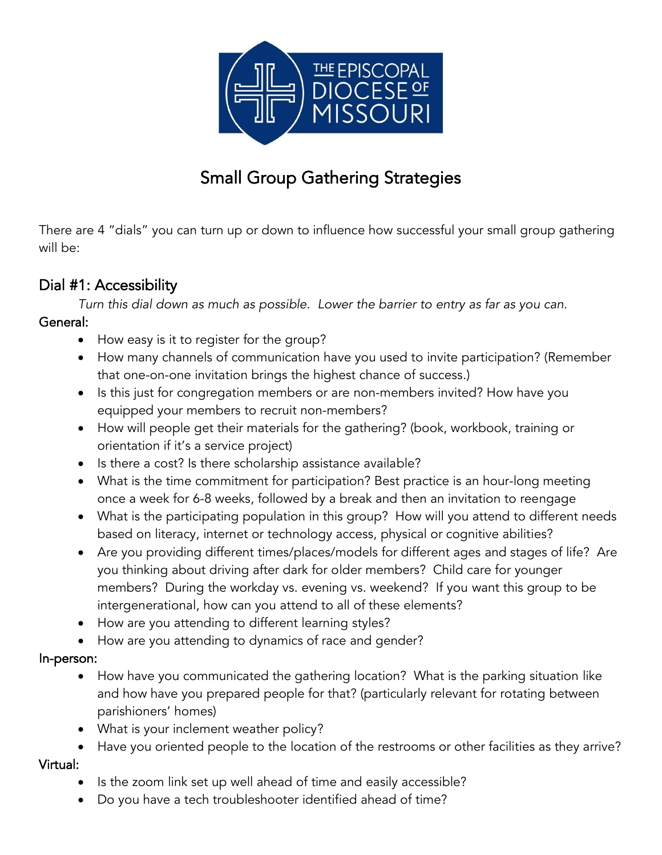

# Small Group Gathering Strategies

There are 4 "dials" you can turn up or down to influence how successful your small group gathering will be:

### Dial #1: Accessibility

*Turn this dial down as much as possible. Lower the barrier to entry as far as you can.* General:

- How easy is it to register for the group?
- How many channels of communication have you used to invite participation? (Remember that one-on-one invitation brings the highest chance of success.)
- Is this just for congregation members or are non-members invited? How have you equipped your members to recruit non-members?
- How will people get their materials for the gathering? (book, workbook, training or orientation if it's a service project)
- Is there a cost? Is there scholarship assistance available?
- What is the time commitment for participation? Best practice is an hour-long meeting once a week for 6-8 weeks, followed by a break and then an invitation to reengage
- What is the participating population in this group? How will you attend to different needs based on literacy, internet or technology access, physical or cognitive abilities?
- Are you providing different times/places/models for different ages and stages of life? Are you thinking about driving after dark for older members? Child care for younger members? During the workday vs. evening vs. weekend? If you want this group to be intergenerational, how can you attend to all of these elements?
- How are you attending to different learning styles?
- How are you attending to dynamics of race and gender?

#### In-person:

- How have you communicated the gathering location? What is the parking situation like and how have you prepared people for that? (particularly relevant for rotating between parishioners' homes)
- What is your inclement weather policy?
- Have you oriented people to the location of the restrooms or other facilities as they arrive? Virtual:
	- Is the zoom link set up well ahead of time and easily accessible?
	- Do you have a tech troubleshooter identified ahead of time?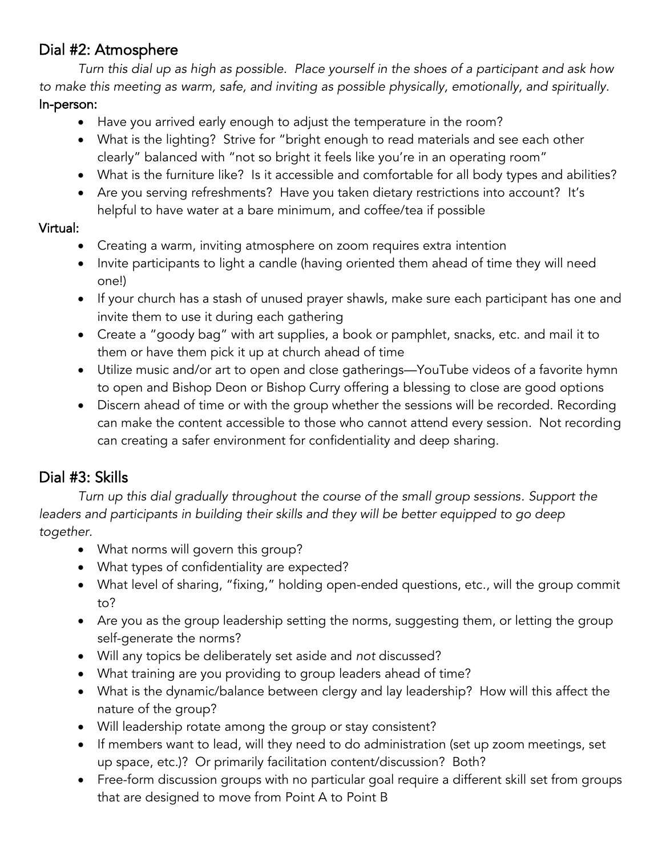# Dial #2: Atmosphere

*Turn this dial up as high as possible. Place yourself in the shoes of a participant and ask how to make this meeting as warm, safe, and inviting as possible physically, emotionally, and spiritually.* In-person:

- Have you arrived early enough to adjust the temperature in the room?
- What is the lighting? Strive for "bright enough to read materials and see each other clearly" balanced with "not so bright it feels like you're in an operating room"
- What is the furniture like? Is it accessible and comfortable for all body types and abilities?
- Are you serving refreshments? Have you taken dietary restrictions into account? It's helpful to have water at a bare minimum, and coffee/tea if possible

#### Virtual:

- Creating a warm, inviting atmosphere on zoom requires extra intention
- Invite participants to light a candle (having oriented them ahead of time they will need one!)
- If your church has a stash of unused prayer shawls, make sure each participant has one and invite them to use it during each gathering
- Create a "goody bag" with art supplies, a book or pamphlet, snacks, etc. and mail it to them or have them pick it up at church ahead of time
- Utilize music and/or art to open and close gatherings—YouTube videos of a favorite hymn to open and Bishop Deon or Bishop Curry offering a blessing to close are good options
- Discern ahead of time or with the group whether the sessions will be recorded. Recording can make the content accessible to those who cannot attend every session. Not recording can creating a safer environment for confidentiality and deep sharing.

# Dial #3: Skills

*Turn up this dial gradually throughout the course of the small group sessions. Support the leaders and participants in building their skills and they will be better equipped to go deep together.*

- What norms will govern this group?
- What types of confidentiality are expected?
- What level of sharing, "fixing," holding open-ended questions, etc., will the group commit to?
- Are you as the group leadership setting the norms, suggesting them, or letting the group self-generate the norms?
- Will any topics be deliberately set aside and *not* discussed?
- What training are you providing to group leaders ahead of time?
- What is the dynamic/balance between clergy and lay leadership? How will this affect the nature of the group?
- Will leadership rotate among the group or stay consistent?
- If members want to lead, will they need to do administration (set up zoom meetings, set up space, etc.)? Or primarily facilitation content/discussion? Both?
- Free-form discussion groups with no particular goal require a different skill set from groups that are designed to move from Point A to Point B